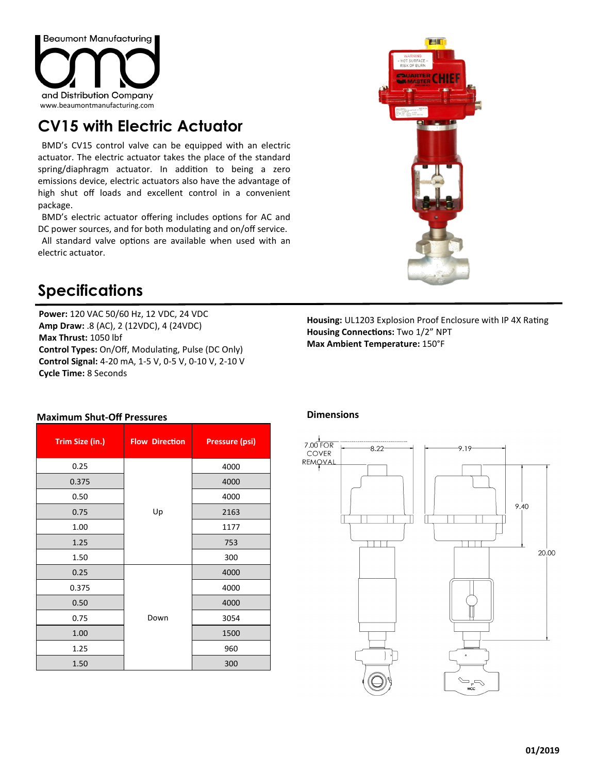

## **CV15 with Electric Actuator**

BMD's CV15 control valve can be equipped with an electric actuator. The electric actuator takes the place of the standard spring/diaphragm actuator. In addition to being a zero emissions device, electric actuators also have the advantage of high shut off loads and excellent control in a convenient package.

BMD's electric actuator offering includes options for AC and DC power sources, and for both modulating and on/off service.

All standard valve options are available when used with an electric actuator.



## **Specifications**

**Maximum Shut-Off Pressures** 

**Power:** 120 VAC 50/60 Hz, 12 VDC, 24 VDC **Amp Draw:** .8 (AC), 2 (12VDC), 4 (24VDC) **Max Thrust:** 1050 lbf **Control Types:** On/Off, Modulating, Pulse (DC Only) **Control Signal:** 4-20 mA, 1-5 V, 0-5 V, 0-10 V, 2-10 V **Cycle Time:** 8 Seconds

**Housing:** UL1203 Explosion Proof Enclosure with IP 4X Rating **Housing Connections:** Two 1/2" NPT **Max Ambient Temperature:** 150°F

| Trim Size (in.) | <b>Flow Direction</b> | <b>Pressure (psi)</b> |  |  |  |
|-----------------|-----------------------|-----------------------|--|--|--|
| 0.25            |                       | 4000                  |  |  |  |
| 0.375           |                       | 4000                  |  |  |  |
| 0.50            |                       | 4000                  |  |  |  |
| 0.75            | Up                    | 2163                  |  |  |  |
| 1.00            |                       | 1177                  |  |  |  |
| 1.25            |                       | 753                   |  |  |  |
| 1.50            |                       | 300                   |  |  |  |
| 0.25            | Down                  | 4000                  |  |  |  |
| 0.375           |                       | 4000                  |  |  |  |
| 0.50            |                       | 4000                  |  |  |  |
| 0.75            |                       | 3054                  |  |  |  |
| 1.00            |                       | 1500                  |  |  |  |
| 1.25            |                       | 960                   |  |  |  |
| 1.50            |                       | 300                   |  |  |  |

## **Dimensions**